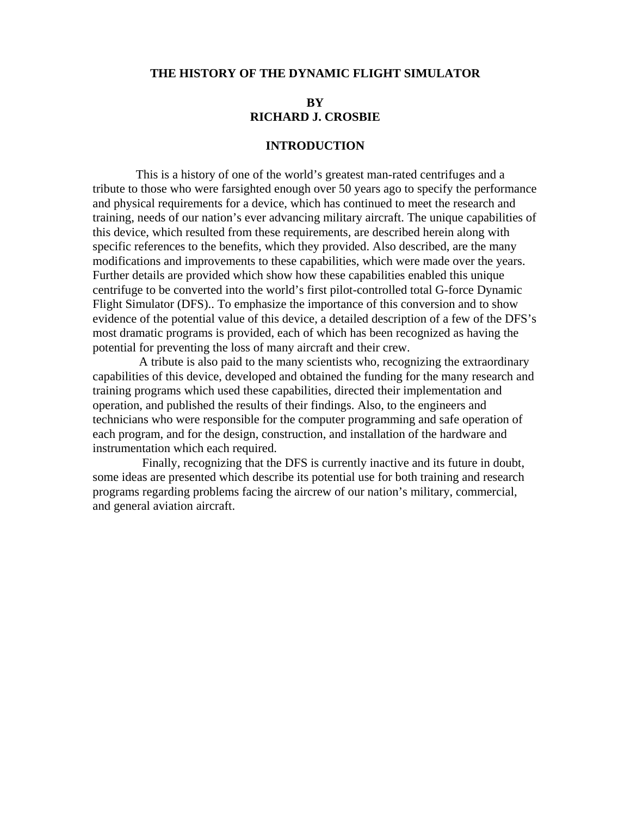## **THE HISTORY OF THE DYNAMIC FLIGHT SIMULATOR**

# **BY RICHARD J. CROSBIE**

#### **INTRODUCTION**

 This is a history of one of the world's greatest man-rated centrifuges and a tribute to those who were farsighted enough over 50 years ago to specify the performance and physical requirements for a device, which has continued to meet the research and training, needs of our nation's ever advancing military aircraft. The unique capabilities of this device, which resulted from these requirements, are described herein along with specific references to the benefits, which they provided. Also described, are the many modifications and improvements to these capabilities, which were made over the years. Further details are provided which show how these capabilities enabled this unique centrifuge to be converted into the world's first pilot-controlled total G-force Dynamic Flight Simulator (DFS).. To emphasize the importance of this conversion and to show evidence of the potential value of this device, a detailed description of a few of the DFS's most dramatic programs is provided, each of which has been recognized as having the potential for preventing the loss of many aircraft and their crew.

 A tribute is also paid to the many scientists who, recognizing the extraordinary capabilities of this device, developed and obtained the funding for the many research and training programs which used these capabilities, directed their implementation and operation, and published the results of their findings. Also, to the engineers and technicians who were responsible for the computer programming and safe operation of each program, and for the design, construction, and installation of the hardware and instrumentation which each required.

 Finally, recognizing that the DFS is currently inactive and its future in doubt, some ideas are presented which describe its potential use for both training and research programs regarding problems facing the aircrew of our nation's military, commercial, and general aviation aircraft.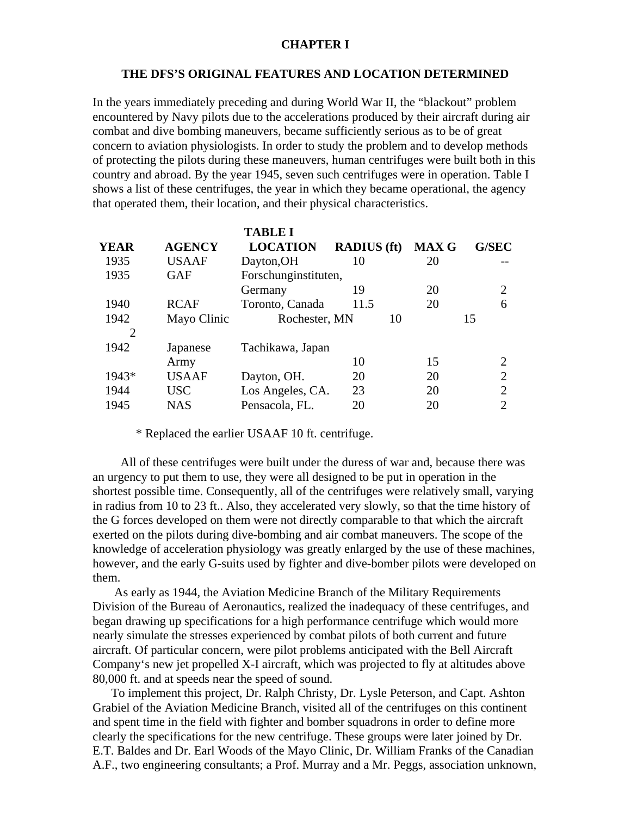#### **CHAPTER I**

#### **THE DFS'S ORIGINAL FEATURES AND LOCATION DETERMINED**

In the years immediately preceding and during World War II, the "blackout" problem encountered by Navy pilots due to the accelerations produced by their aircraft during air combat and dive bombing maneuvers, became sufficiently serious as to be of great concern to aviation physiologists. In order to study the problem and to develop methods of protecting the pilots during these maneuvers, human centrifuges were built both in this country and abroad. By the year 1945, seven such centrifuges were in operation. Table I shows a list of these centrifuges, the year in which they became operational, the agency that operated them, their location, and their physical characteristics.

|                |               | <b>TABLE I</b>       |                    |              |                             |
|----------------|---------------|----------------------|--------------------|--------------|-----------------------------|
| <b>YEAR</b>    | <b>AGENCY</b> | <b>LOCATION</b>      | <b>RADIUS</b> (ft) | <b>MAX G</b> | <b>G/SEC</b>                |
| 1935           | <b>USAAF</b>  | Dayton, OH           | 10                 | 20           |                             |
| 1935           | <b>GAF</b>    | Forschunginstituten, |                    |              |                             |
|                |               | Germany              | 19                 | 20           | $\mathcal{D}_{\mathcal{L}}$ |
| 1940           | <b>RCAF</b>   | Toronto, Canada      | 11.5               | 20           | 6                           |
| 1942           | Mayo Clinic   | Rochester, MN        | 10                 |              | 15                          |
| $\overline{2}$ |               |                      |                    |              |                             |
| 1942           | Japanese      | Tachikawa, Japan     |                    |              |                             |
|                | Army          |                      | 10                 | 15           | $\mathcal{D}$               |
| 1943*          | <b>USAAF</b>  | Dayton, OH.          | 20                 | 20           | $\mathcal{D}_{\mathcal{L}}$ |
| 1944           | <b>USC</b>    | Los Angeles, CA.     | 23                 | 20           | $\mathcal{D}_{\mathcal{L}}$ |
| 1945           | NAS           | Pensacola, FL.       | 20                 | 20           | 2                           |

\* Replaced the earlier USAAF 10 ft. centrifuge.

 All of these centrifuges were built under the duress of war and, because there was an urgency to put them to use, they were all designed to be put in operation in the shortest possible time. Consequently, all of the centrifuges were relatively small, varying in radius from 10 to 23 ft.. Also, they accelerated very slowly, so that the time history of the G forces developed on them were not directly comparable to that which the aircraft exerted on the pilots during dive-bombing and air combat maneuvers. The scope of the knowledge of acceleration physiology was greatly enlarged by the use of these machines, however, and the early G-suits used by fighter and dive-bomber pilots were developed on them.

 As early as 1944, the Aviation Medicine Branch of the Military Requirements Division of the Bureau of Aeronautics, realized the inadequacy of these centrifuges, and began drawing up specifications for a high performance centrifuge which would more nearly simulate the stresses experienced by combat pilots of both current and future aircraft. Of particular concern, were pilot problems anticipated with the Bell Aircraft Company's new jet propelled X-I aircraft, which was projected to fly at altitudes above 80,000 ft. and at speeds near the speed of sound.

 To implement this project, Dr. Ralph Christy, Dr. Lysle Peterson, and Capt. Ashton Grabiel of the Aviation Medicine Branch, visited all of the centrifuges on this continent and spent time in the field with fighter and bomber squadrons in order to define more clearly the specifications for the new centrifuge. These groups were later joined by Dr. E.T. Baldes and Dr. Earl Woods of the Mayo Clinic, Dr. William Franks of the Canadian A.F., two engineering consultants; a Prof. Murray and a Mr. Peggs, association unknown,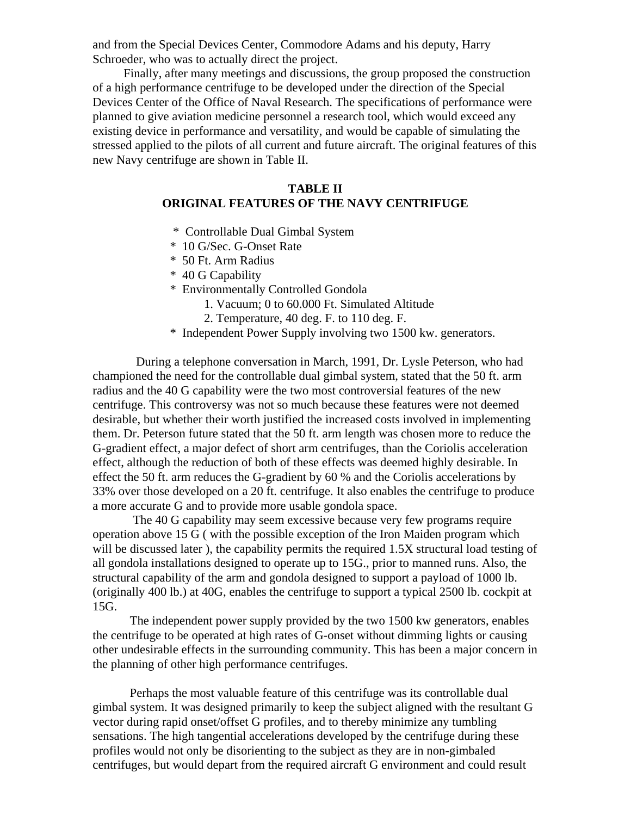and from the Special Devices Center, Commodore Adams and his deputy, Harry Schroeder, who was to actually direct the project.

 Finally, after many meetings and discussions, the group proposed the construction of a high performance centrifuge to be developed under the direction of the Special Devices Center of the Office of Naval Research. The specifications of performance were planned to give aviation medicine personnel a research tool, which would exceed any existing device in performance and versatility, and would be capable of simulating the stressed applied to the pilots of all current and future aircraft. The original features of this new Navy centrifuge are shown in Table II.

# **TABLE II ORIGINAL FEATURES OF THE NAVY CENTRIFUGE**

- \* Controllable Dual Gimbal System
- \* 10 G/Sec. G-Onset Rate
- \* 50 Ft. Arm Radius
- \* 40 G Capability
- \* Environmentally Controlled Gondola
	- 1. Vacuum; 0 to 60.000 Ft. Simulated Altitude
	- 2. Temperature, 40 deg. F. to 110 deg. F.
- \* Independent Power Supply involving two 1500 kw. generators.

 During a telephone conversation in March, 1991, Dr. Lysle Peterson, who had championed the need for the controllable dual gimbal system, stated that the 50 ft. arm radius and the 40 G capability were the two most controversial features of the new centrifuge. This controversy was not so much because these features were not deemed desirable, but whether their worth justified the increased costs involved in implementing them. Dr. Peterson future stated that the 50 ft. arm length was chosen more to reduce the G-gradient effect, a major defect of short arm centrifuges, than the Coriolis acceleration effect, although the reduction of both of these effects was deemed highly desirable. In effect the 50 ft. arm reduces the G-gradient by 60 % and the Coriolis accelerations by 33% over those developed on a 20 ft. centrifuge. It also enables the centrifuge to produce a more accurate G and to provide more usable gondola space.

 The 40 G capability may seem excessive because very few programs require operation above 15 G ( with the possible exception of the Iron Maiden program which will be discussed later ), the capability permits the required 1.5X structural load testing of all gondola installations designed to operate up to 15G., prior to manned runs. Also, the structural capability of the arm and gondola designed to support a payload of 1000 lb. (originally 400 lb.) at 40G, enables the centrifuge to support a typical 2500 lb. cockpit at 15G.

 The independent power supply provided by the two 1500 kw generators, enables the centrifuge to be operated at high rates of G-onset without dimming lights or causing other undesirable effects in the surrounding community. This has been a major concern in the planning of other high performance centrifuges.

 Perhaps the most valuable feature of this centrifuge was its controllable dual gimbal system. It was designed primarily to keep the subject aligned with the resultant G vector during rapid onset/offset G profiles, and to thereby minimize any tumbling sensations. The high tangential accelerations developed by the centrifuge during these profiles would not only be disorienting to the subject as they are in non-gimbaled centrifuges, but would depart from the required aircraft G environment and could result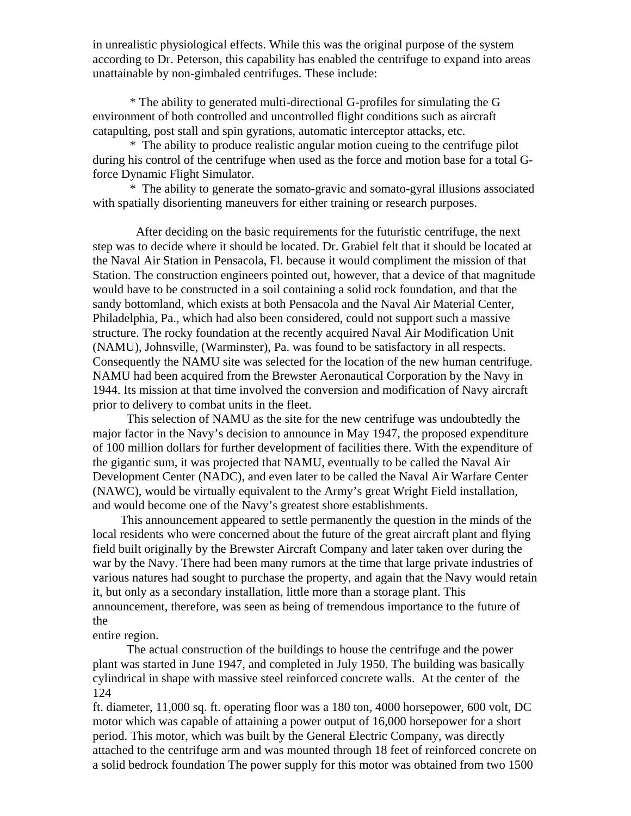in unrealistic physiological effects. While this was the original purpose of the system according to Dr. Peterson, this capability has enabled the centrifuge to expand into areas unattainable by non-gimbaled centrifuges. These include:

\* The ability to generated multi-directional G-profiles for simulating the G environment of both controlled and uncontrolled flight conditions such as aircraft catapulting, post stall and spin gyrations, automatic interceptor attacks, etc.

 \* The ability to produce realistic angular motion cueing to the centrifuge pilot during his control of the centrifuge when used as the force and motion base for a total Gforce Dynamic Flight Simulator.

 \* The ability to generate the somato-gravic and somato-gyral illusions associated with spatially disorienting maneuvers for either training or research purposes.

 After deciding on the basic requirements for the futuristic centrifuge, the next step was to decide where it should be located. Dr. Grabiel felt that it should be located at the Naval Air Station in Pensacola, Fl. because it would compliment the mission of that Station. The construction engineers pointed out, however, that a device of that magnitude would have to be constructed in a soil containing a solid rock foundation, and that the sandy bottomland, which exists at both Pensacola and the Naval Air Material Center, Philadelphia, Pa., which had also been considered, could not support such a massive structure. The rocky foundation at the recently acquired Naval Air Modification Unit (NAMU), Johnsville, (Warminster), Pa. was found to be satisfactory in all respects. Consequently the NAMU site was selected for the location of the new human centrifuge. NAMU had been acquired from the Brewster Aeronautical Corporation by the Navy in 1944. Its mission at that time involved the conversion and modification of Navy aircraft prior to delivery to combat units in the fleet.

 This selection of NAMU as the site for the new centrifuge was undoubtedly the major factor in the Navy's decision to announce in May 1947, the proposed expenditure of 100 million dollars for further development of facilities there. With the expenditure of the gigantic sum, it was projected that NAMU, eventually to be called the Naval Air Development Center (NADC), and even later to be called the Naval Air Warfare Center (NAWC), would be virtually equivalent to the Army's great Wright Field installation, and would become one of the Navy's greatest shore establishments.

 This announcement appeared to settle permanently the question in the minds of the local residents who were concerned about the future of the great aircraft plant and flying field built originally by the Brewster Aircraft Company and later taken over during the war by the Navy. There had been many rumors at the time that large private industries of various natures had sought to purchase the property, and again that the Navy would retain it, but only as a secondary installation, little more than a storage plant. This announcement, therefore, was seen as being of tremendous importance to the future of the

# entire region.

 The actual construction of the buildings to house the centrifuge and the power plant was started in June 1947, and completed in July 1950. The building was basically cylindrical in shape with massive steel reinforced concrete walls. At the center of the 124

ft. diameter, 11,000 sq. ft. operating floor was a 180 ton, 4000 horsepower, 600 volt, DC motor which was capable of attaining a power output of 16,000 horsepower for a short period. This motor, which was built by the General Electric Company, was directly attached to the centrifuge arm and was mounted through 18 feet of reinforced concrete on a solid bedrock foundation The power supply for this motor was obtained from two 1500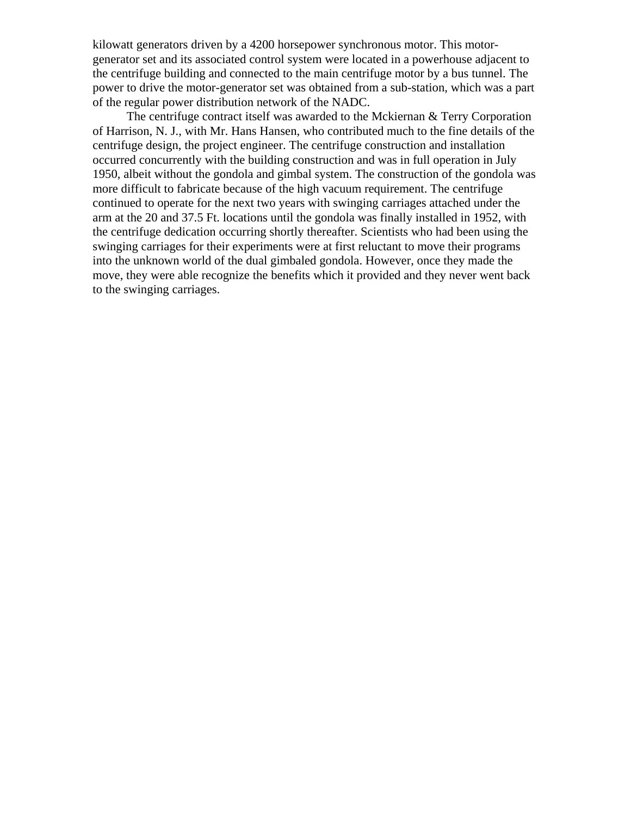kilowatt generators driven by a 4200 horsepower synchronous motor. This motorgenerator set and its associated control system were located in a powerhouse adjacent to the centrifuge building and connected to the main centrifuge motor by a bus tunnel. The power to drive the motor-generator set was obtained from a sub-station, which was a part of the regular power distribution network of the NADC.

 The centrifuge contract itself was awarded to the Mckiernan & Terry Corporation of Harrison, N. J., with Mr. Hans Hansen, who contributed much to the fine details of the centrifuge design, the project engineer. The centrifuge construction and installation occurred concurrently with the building construction and was in full operation in July 1950, albeit without the gondola and gimbal system. The construction of the gondola was more difficult to fabricate because of the high vacuum requirement. The centrifuge continued to operate for the next two years with swinging carriages attached under the arm at the 20 and 37.5 Ft. locations until the gondola was finally installed in 1952, with the centrifuge dedication occurring shortly thereafter. Scientists who had been using the swinging carriages for their experiments were at first reluctant to move their programs into the unknown world of the dual gimbaled gondola. However, once they made the move, they were able recognize the benefits which it provided and they never went back to the swinging carriages.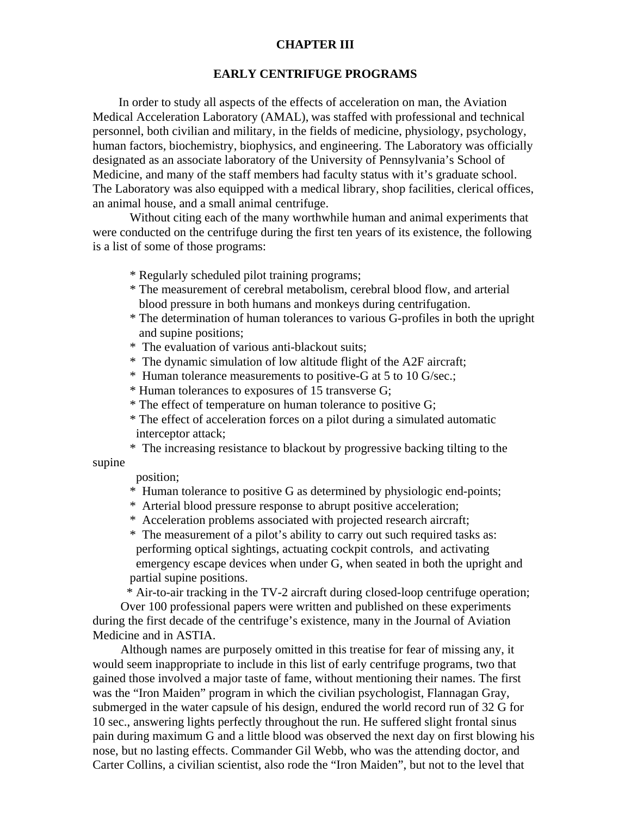## **CHAPTER III**

#### **EARLY CENTRIFUGE PROGRAMS**

 In order to study all aspects of the effects of acceleration on man, the Aviation Medical Acceleration Laboratory (AMAL), was staffed with professional and technical personnel, both civilian and military, in the fields of medicine, physiology, psychology, human factors, biochemistry, biophysics, and engineering. The Laboratory was officially designated as an associate laboratory of the University of Pennsylvania's School of Medicine, and many of the staff members had faculty status with it's graduate school. The Laboratory was also equipped with a medical library, shop facilities, clerical offices, an animal house, and a small animal centrifuge.

 Without citing each of the many worthwhile human and animal experiments that were conducted on the centrifuge during the first ten years of its existence, the following is a list of some of those programs:

- \* Regularly scheduled pilot training programs;
- \* The measurement of cerebral metabolism, cerebral blood flow, and arterial blood pressure in both humans and monkeys during centrifugation.
- \* The determination of human tolerances to various G-profiles in both the upright and supine positions;
- \* The evaluation of various anti-blackout suits;
- \* The dynamic simulation of low altitude flight of the A2F aircraft;
- \* Human tolerance measurements to positive-G at 5 to 10 G/sec.;
- \* Human tolerances to exposures of 15 transverse G;
- \* The effect of temperature on human tolerance to positive G;
- \* The effect of acceleration forces on a pilot during a simulated automatic interceptor attack;
- \* The increasing resistance to blackout by progressive backing tilting to the

position;

supine

- \* Human tolerance to positive G as determined by physiologic end-points;
- \* Arterial blood pressure response to abrupt positive acceleration;
- \* Acceleration problems associated with projected research aircraft;
- \* The measurement of a pilot's ability to carry out such required tasks as: performing optical sightings, actuating cockpit controls, and activating emergency escape devices when under G, when seated in both the upright and partial supine positions.

 \* Air-to-air tracking in the TV-2 aircraft during closed-loop centrifuge operation; Over 100 professional papers were written and published on these experiments during the first decade of the centrifuge's existence, many in the Journal of Aviation Medicine and in ASTIA.

 Although names are purposely omitted in this treatise for fear of missing any, it would seem inappropriate to include in this list of early centrifuge programs, two that gained those involved a major taste of fame, without mentioning their names. The first was the "Iron Maiden" program in which the civilian psychologist, Flannagan Gray, submerged in the water capsule of his design, endured the world record run of 32 G for 10 sec., answering lights perfectly throughout the run. He suffered slight frontal sinus pain during maximum G and a little blood was observed the next day on first blowing his nose, but no lasting effects. Commander Gil Webb, who was the attending doctor, and Carter Collins, a civilian scientist, also rode the "Iron Maiden", but not to the level that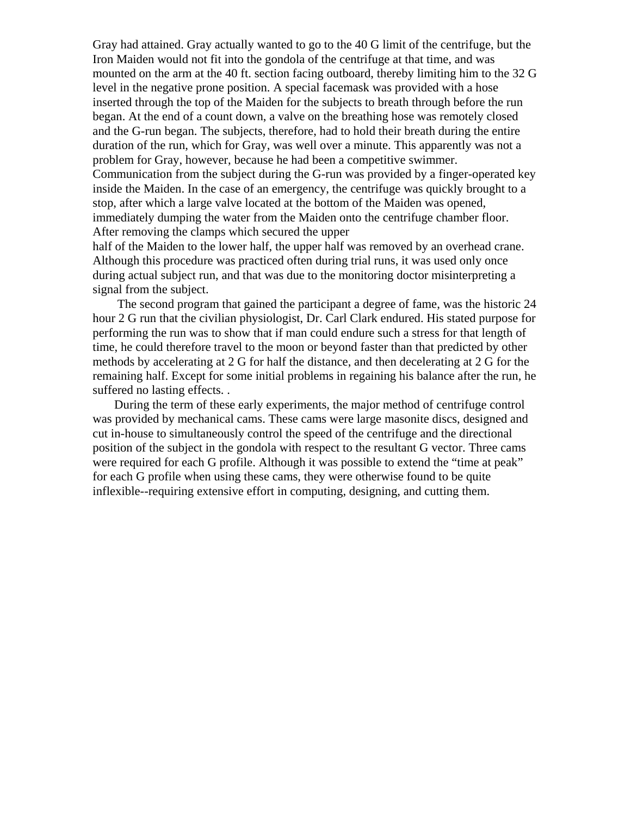Gray had attained. Gray actually wanted to go to the 40 G limit of the centrifuge, but the Iron Maiden would not fit into the gondola of the centrifuge at that time, and was mounted on the arm at the 40 ft. section facing outboard, thereby limiting him to the 32 G level in the negative prone position. A special facemask was provided with a hose inserted through the top of the Maiden for the subjects to breath through before the run began. At the end of a count down, a valve on the breathing hose was remotely closed and the G-run began. The subjects, therefore, had to hold their breath during the entire duration of the run, which for Gray, was well over a minute. This apparently was not a problem for Gray, however, because he had been a competitive swimmer. Communication from the subject during the G-run was provided by a finger-operated key inside the Maiden. In the case of an emergency, the centrifuge was quickly brought to a stop, after which a large valve located at the bottom of the Maiden was opened, immediately dumping the water from the Maiden onto the centrifuge chamber floor. After removing the clamps which secured the upper

half of the Maiden to the lower half, the upper half was removed by an overhead crane. Although this procedure was practiced often during trial runs, it was used only once during actual subject run, and that was due to the monitoring doctor misinterpreting a signal from the subject.

 The second program that gained the participant a degree of fame, was the historic 24 hour 2 G run that the civilian physiologist, Dr. Carl Clark endured. His stated purpose for performing the run was to show that if man could endure such a stress for that length of time, he could therefore travel to the moon or beyond faster than that predicted by other methods by accelerating at 2 G for half the distance, and then decelerating at 2 G for the remaining half. Except for some initial problems in regaining his balance after the run, he suffered no lasting effects. .

 During the term of these early experiments, the major method of centrifuge control was provided by mechanical cams. These cams were large masonite discs, designed and cut in-house to simultaneously control the speed of the centrifuge and the directional position of the subject in the gondola with respect to the resultant G vector. Three cams were required for each G profile. Although it was possible to extend the "time at peak" for each G profile when using these cams, they were otherwise found to be quite inflexible--requiring extensive effort in computing, designing, and cutting them.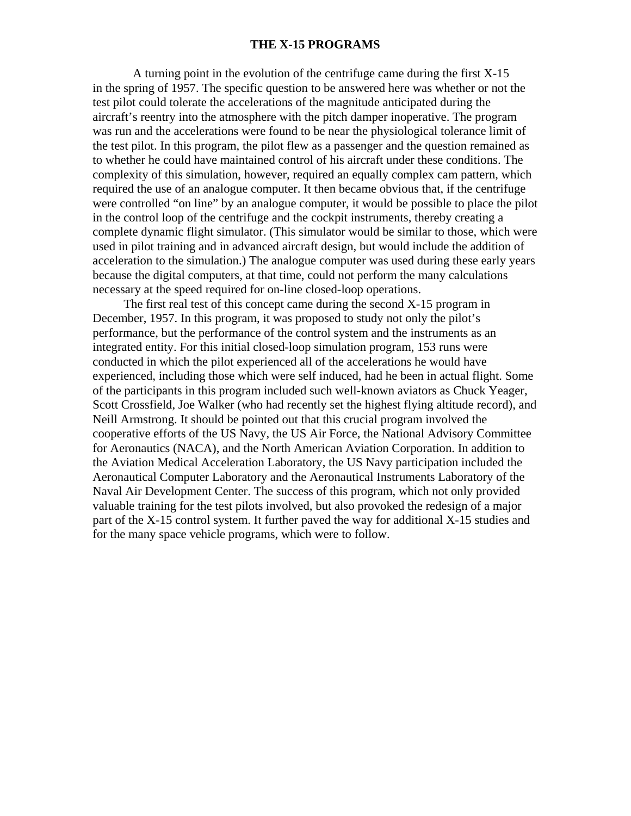#### **THE X-15 PROGRAMS**

 A turning point in the evolution of the centrifuge came during the first X-15 in the spring of 1957. The specific question to be answered here was whether or not the test pilot could tolerate the accelerations of the magnitude anticipated during the aircraft's reentry into the atmosphere with the pitch damper inoperative. The program was run and the accelerations were found to be near the physiological tolerance limit of the test pilot. In this program, the pilot flew as a passenger and the question remained as to whether he could have maintained control of his aircraft under these conditions. The complexity of this simulation, however, required an equally complex cam pattern, which required the use of an analogue computer. It then became obvious that, if the centrifuge were controlled "on line" by an analogue computer, it would be possible to place the pilot in the control loop of the centrifuge and the cockpit instruments, thereby creating a complete dynamic flight simulator. (This simulator would be similar to those, which were used in pilot training and in advanced aircraft design, but would include the addition of acceleration to the simulation.) The analogue computer was used during these early years because the digital computers, at that time, could not perform the many calculations necessary at the speed required for on-line closed-loop operations.

 The first real test of this concept came during the second X-15 program in December, 1957. In this program, it was proposed to study not only the pilot's performance, but the performance of the control system and the instruments as an integrated entity. For this initial closed-loop simulation program, 153 runs were conducted in which the pilot experienced all of the accelerations he would have experienced, including those which were self induced, had he been in actual flight. Some of the participants in this program included such well-known aviators as Chuck Yeager, Scott Crossfield, Joe Walker (who had recently set the highest flying altitude record), and Neill Armstrong. It should be pointed out that this crucial program involved the cooperative efforts of the US Navy, the US Air Force, the National Advisory Committee for Aeronautics (NACA), and the North American Aviation Corporation. In addition to the Aviation Medical Acceleration Laboratory, the US Navy participation included the Aeronautical Computer Laboratory and the Aeronautical Instruments Laboratory of the Naval Air Development Center. The success of this program, which not only provided valuable training for the test pilots involved, but also provoked the redesign of a major part of the X-15 control system. It further paved the way for additional X-15 studies and for the many space vehicle programs, which were to follow.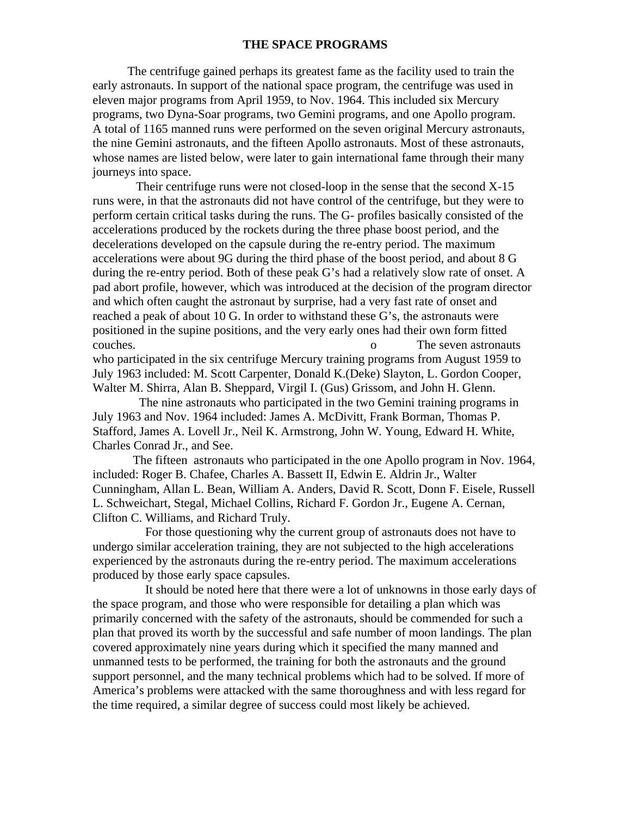## **THE SPACE PROGRAMS**

 The centrifuge gained perhaps its greatest fame as the facility used to train the early astronauts. In support of the national space program, the centrifuge was used in eleven major programs from April 1959, to Nov. 1964. This included six Mercury programs, two Dyna-Soar programs, two Gemini programs, and one Apollo program. A total of 1165 manned runs were performed on the seven original Mercury astronauts, the nine Gemini astronauts, and the fifteen Apollo astronauts. Most of these astronauts, whose names are listed below, were later to gain international fame through their many journeys into space.

 Their centrifuge runs were not closed-loop in the sense that the second X-15 runs were, in that the astronauts did not have control of the centrifuge, but they were to perform certain critical tasks during the runs. The G- profiles basically consisted of the accelerations produced by the rockets during the three phase boost period, and the decelerations developed on the capsule during the re-entry period. The maximum accelerations were about 9G during the third phase of the boost period, and about 8 G during the re-entry period. Both of these peak G's had a relatively slow rate of onset. A pad abort profile, however, which was introduced at the decision of the program director and which often caught the astronaut by surprise, had a very fast rate of onset and reached a peak of about 10 G. In order to withstand these G's, the astronauts were positioned in the supine positions, and the very early ones had their own form fitted couches. o The seven astronauts who participated in the six centrifuge Mercury training programs from August 1959 to July 1963 included: M. Scott Carpenter, Donald K.(Deke) Slayton, L. Gordon Cooper,

Walter M. Shirra, Alan B. Sheppard, Virgil I. (Gus) Grissom, and John H. Glenn. The nine astronauts who participated in the two Gemini training programs in July 1963 and Nov. 1964 included: James A. McDivitt, Frank Borman, Thomas P. Stafford, James A. Lovell Jr., Neil K. Armstrong, John W. Young, Edward H. White, Charles Conrad Jr., and See.

 The fifteen astronauts who participated in the one Apollo program in Nov. 1964, included: Roger B. Chafee, Charles A. Bassett II, Edwin E. Aldrin Jr., Walter Cunningham, Allan L. Bean, William A. Anders, David R. Scott, Donn F. Eisele, Russell L. Schweichart, Stegal, Michael Collins, Richard F. Gordon Jr., Eugene A. Cernan, Clifton C. Williams, and Richard Truly.

 For those questioning why the current group of astronauts does not have to undergo similar acceleration training, they are not subjected to the high accelerations experienced by the astronauts during the re-entry period. The maximum accelerations produced by those early space capsules.

 It should be noted here that there were a lot of unknowns in those early days of the space program, and those who were responsible for detailing a plan which was primarily concerned with the safety of the astronauts, should be commended for such a plan that proved its worth by the successful and safe number of moon landings. The plan covered approximately nine years during which it specified the many manned and unmanned tests to be performed, the training for both the astronauts and the ground support personnel, and the many technical problems which had to be solved. If more of America's problems were attacked with the same thoroughness and with less regard for the time required, a similar degree of success could most likely be achieved.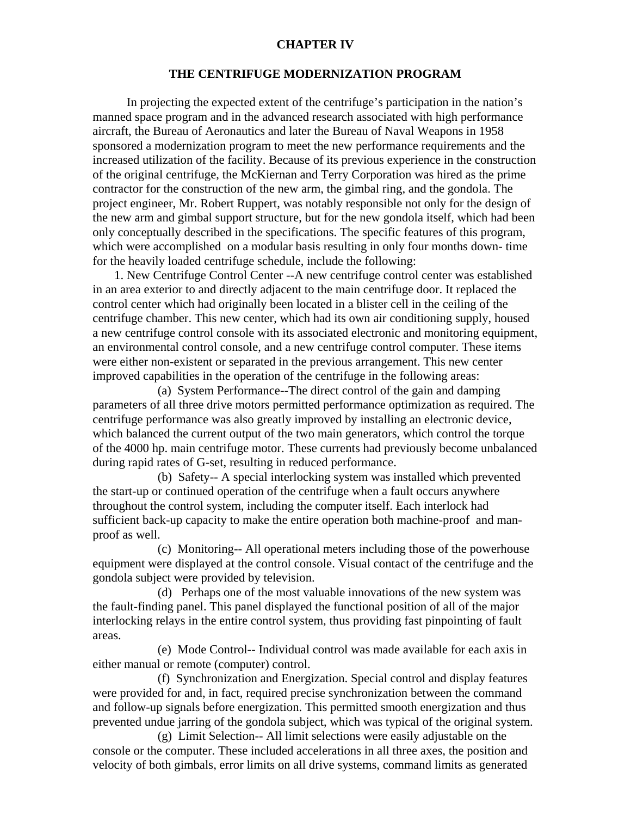## **CHAPTER IV**

## **THE CENTRIFUGE MODERNIZATION PROGRAM**

 In projecting the expected extent of the centrifuge's participation in the nation's manned space program and in the advanced research associated with high performance aircraft, the Bureau of Aeronautics and later the Bureau of Naval Weapons in 1958 sponsored a modernization program to meet the new performance requirements and the increased utilization of the facility. Because of its previous experience in the construction of the original centrifuge, the McKiernan and Terry Corporation was hired as the prime contractor for the construction of the new arm, the gimbal ring, and the gondola. The project engineer, Mr. Robert Ruppert, was notably responsible not only for the design of the new arm and gimbal support structure, but for the new gondola itself, which had been only conceptually described in the specifications. The specific features of this program, which were accomplished on a modular basis resulting in only four months down- time for the heavily loaded centrifuge schedule, include the following:

 1. New Centrifuge Control Center --A new centrifuge control center was established in an area exterior to and directly adjacent to the main centrifuge door. It replaced the control center which had originally been located in a blister cell in the ceiling of the centrifuge chamber. This new center, which had its own air conditioning supply, housed a new centrifuge control console with its associated electronic and monitoring equipment, an environmental control console, and a new centrifuge control computer. These items were either non-existent or separated in the previous arrangement. This new center improved capabilities in the operation of the centrifuge in the following areas:

 (a) System Performance--The direct control of the gain and damping parameters of all three drive motors permitted performance optimization as required. The centrifuge performance was also greatly improved by installing an electronic device, which balanced the current output of the two main generators, which control the torque of the 4000 hp. main centrifuge motor. These currents had previously become unbalanced during rapid rates of G-set, resulting in reduced performance.

 (b) Safety-- A special interlocking system was installed which prevented the start-up or continued operation of the centrifuge when a fault occurs anywhere throughout the control system, including the computer itself. Each interlock had sufficient back-up capacity to make the entire operation both machine-proof and manproof as well.

 (c) Monitoring-- All operational meters including those of the powerhouse equipment were displayed at the control console. Visual contact of the centrifuge and the gondola subject were provided by television.

 (d) Perhaps one of the most valuable innovations of the new system was the fault-finding panel. This panel displayed the functional position of all of the major interlocking relays in the entire control system, thus providing fast pinpointing of fault areas.

 (e) Mode Control-- Individual control was made available for each axis in either manual or remote (computer) control.

 (f) Synchronization and Energization. Special control and display features were provided for and, in fact, required precise synchronization between the command and follow-up signals before energization. This permitted smooth energization and thus prevented undue jarring of the gondola subject, which was typical of the original system.

 (g) Limit Selection-- All limit selections were easily adjustable on the console or the computer. These included accelerations in all three axes, the position and velocity of both gimbals, error limits on all drive systems, command limits as generated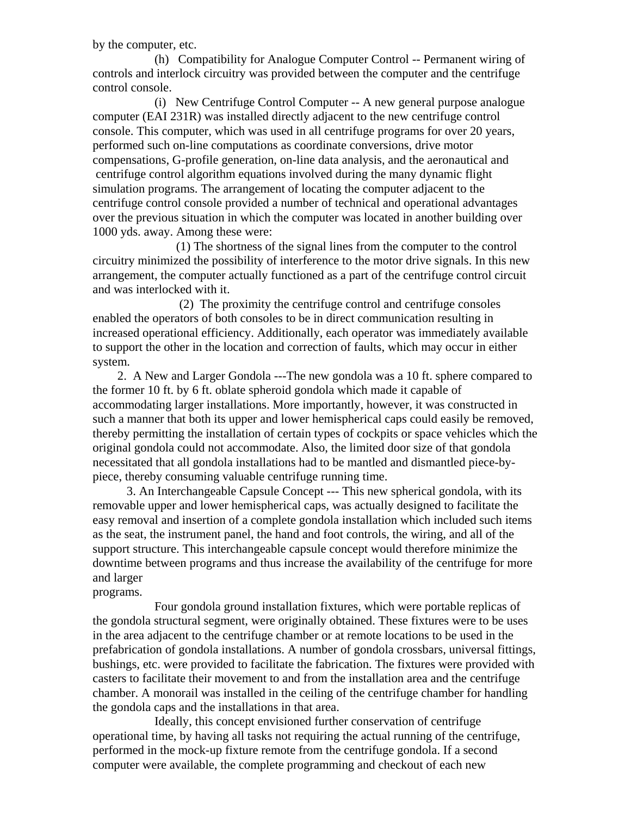by the computer, etc.

 (h) Compatibility for Analogue Computer Control -- Permanent wiring of controls and interlock circuitry was provided between the computer and the centrifuge control console.

 (i) New Centrifuge Control Computer -- A new general purpose analogue computer (EAI 231R) was installed directly adjacent to the new centrifuge control console. This computer, which was used in all centrifuge programs for over 20 years, performed such on-line computations as coordinate conversions, drive motor compensations, G-profile generation, on-line data analysis, and the aeronautical and centrifuge control algorithm equations involved during the many dynamic flight simulation programs. The arrangement of locating the computer adjacent to the centrifuge control console provided a number of technical and operational advantages over the previous situation in which the computer was located in another building over 1000 yds. away. Among these were:

 (1) The shortness of the signal lines from the computer to the control circuitry minimized the possibility of interference to the motor drive signals. In this new arrangement, the computer actually functioned as a part of the centrifuge control circuit and was interlocked with it.

 (2) The proximity the centrifuge control and centrifuge consoles enabled the operators of both consoles to be in direct communication resulting in increased operational efficiency. Additionally, each operator was immediately available to support the other in the location and correction of faults, which may occur in either system.

 2. A New and Larger Gondola ---The new gondola was a 10 ft. sphere compared to the former 10 ft. by 6 ft. oblate spheroid gondola which made it capable of accommodating larger installations. More importantly, however, it was constructed in such a manner that both its upper and lower hemispherical caps could easily be removed, thereby permitting the installation of certain types of cockpits or space vehicles which the original gondola could not accommodate. Also, the limited door size of that gondola necessitated that all gondola installations had to be mantled and dismantled piece-bypiece, thereby consuming valuable centrifuge running time.

 3. An Interchangeable Capsule Concept --- This new spherical gondola, with its removable upper and lower hemispherical caps, was actually designed to facilitate the easy removal and insertion of a complete gondola installation which included such items as the seat, the instrument panel, the hand and foot controls, the wiring, and all of the support structure. This interchangeable capsule concept would therefore minimize the downtime between programs and thus increase the availability of the centrifuge for more and larger

# programs.

 Four gondola ground installation fixtures, which were portable replicas of the gondola structural segment, were originally obtained. These fixtures were to be uses in the area adjacent to the centrifuge chamber or at remote locations to be used in the prefabrication of gondola installations. A number of gondola crossbars, universal fittings, bushings, etc. were provided to facilitate the fabrication. The fixtures were provided with casters to facilitate their movement to and from the installation area and the centrifuge chamber. A monorail was installed in the ceiling of the centrifuge chamber for handling the gondola caps and the installations in that area.

 Ideally, this concept envisioned further conservation of centrifuge operational time, by having all tasks not requiring the actual running of the centrifuge, performed in the mock-up fixture remote from the centrifuge gondola. If a second computer were available, the complete programming and checkout of each new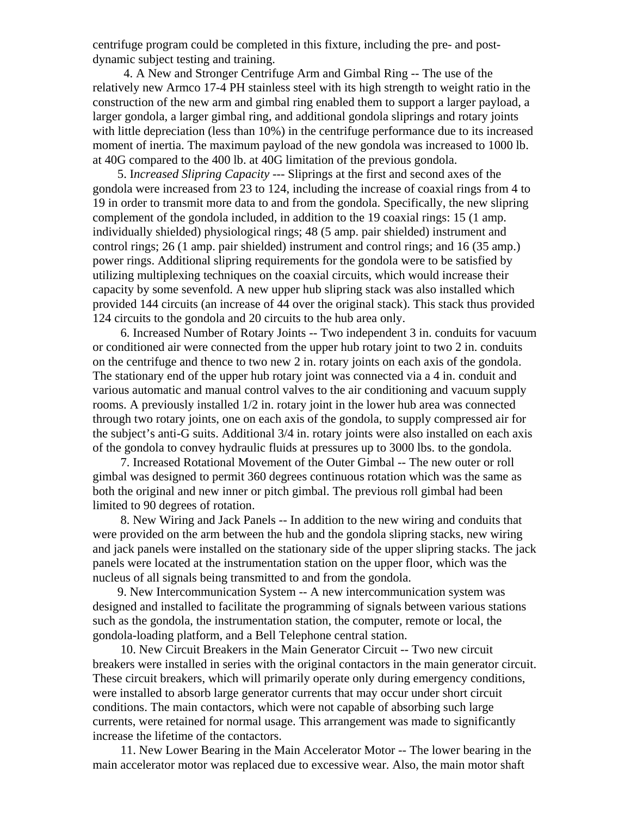centrifuge program could be completed in this fixture, including the pre- and postdynamic subject testing and training.

 4. A New and Stronger Centrifuge Arm and Gimbal Ring -- The use of the relatively new Armco 17-4 PH stainless steel with its high strength to weight ratio in the construction of the new arm and gimbal ring enabled them to support a larger payload, a larger gondola, a larger gimbal ring, and additional gondola sliprings and rotary joints with little depreciation (less than 10%) in the centrifuge performance due to its increased moment of inertia. The maximum payload of the new gondola was increased to 1000 lb. at 40G compared to the 400 lb. at 40G limitation of the previous gondola.

 5. I*ncreased Slipring Capacity* --- Sliprings at the first and second axes of the gondola were increased from 23 to 124, including the increase of coaxial rings from 4 to 19 in order to transmit more data to and from the gondola. Specifically, the new slipring complement of the gondola included, in addition to the 19 coaxial rings: 15 (1 amp. individually shielded) physiological rings; 48 (5 amp. pair shielded) instrument and control rings; 26 (1 amp. pair shielded) instrument and control rings; and 16 (35 amp.) power rings. Additional slipring requirements for the gondola were to be satisfied by utilizing multiplexing techniques on the coaxial circuits, which would increase their capacity by some sevenfold. A new upper hub slipring stack was also installed which provided 144 circuits (an increase of 44 over the original stack). This stack thus provided 124 circuits to the gondola and 20 circuits to the hub area only.

 6. Increased Number of Rotary Joints -- Two independent 3 in. conduits for vacuum or conditioned air were connected from the upper hub rotary joint to two 2 in. conduits on the centrifuge and thence to two new 2 in. rotary joints on each axis of the gondola. The stationary end of the upper hub rotary joint was connected via a 4 in. conduit and various automatic and manual control valves to the air conditioning and vacuum supply rooms. A previously installed 1/2 in. rotary joint in the lower hub area was connected through two rotary joints, one on each axis of the gondola, to supply compressed air for the subject's anti-G suits. Additional 3/4 in. rotary joints were also installed on each axis of the gondola to convey hydraulic fluids at pressures up to 3000 lbs. to the gondola.

 7. Increased Rotational Movement of the Outer Gimbal -- The new outer or roll gimbal was designed to permit 360 degrees continuous rotation which was the same as both the original and new inner or pitch gimbal. The previous roll gimbal had been limited to 90 degrees of rotation.

 8. New Wiring and Jack Panels -- In addition to the new wiring and conduits that were provided on the arm between the hub and the gondola slipring stacks, new wiring and jack panels were installed on the stationary side of the upper slipring stacks. The jack panels were located at the instrumentation station on the upper floor, which was the nucleus of all signals being transmitted to and from the gondola.

 9. New Intercommunication System -- A new intercommunication system was designed and installed to facilitate the programming of signals between various stations such as the gondola, the instrumentation station, the computer, remote or local, the gondola-loading platform, and a Bell Telephone central station.

 10. New Circuit Breakers in the Main Generator Circuit -- Two new circuit breakers were installed in series with the original contactors in the main generator circuit. These circuit breakers, which will primarily operate only during emergency conditions, were installed to absorb large generator currents that may occur under short circuit conditions. The main contactors, which were not capable of absorbing such large currents, were retained for normal usage. This arrangement was made to significantly increase the lifetime of the contactors.

 11. New Lower Bearing in the Main Accelerator Motor -- The lower bearing in the main accelerator motor was replaced due to excessive wear. Also, the main motor shaft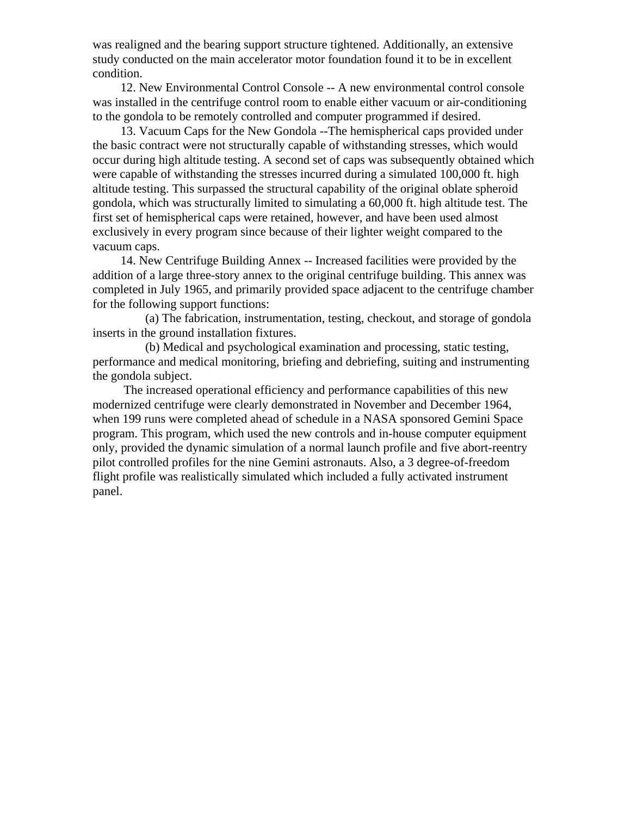was realigned and the bearing support structure tightened. Additionally, an extensive study conducted on the main accelerator motor foundation found it to be in excellent condition.

 12. New Environmental Control Console -- A new environmental control console was installed in the centrifuge control room to enable either vacuum or air-conditioning to the gondola to be remotely controlled and computer programmed if desired.

 13. Vacuum Caps for the New Gondola --The hemispherical caps provided under the basic contract were not structurally capable of withstanding stresses, which would occur during high altitude testing. A second set of caps was subsequently obtained which were capable of withstanding the stresses incurred during a simulated 100,000 ft. high altitude testing. This surpassed the structural capability of the original oblate spheroid gondola, which was structurally limited to simulating a 60,000 ft. high altitude test. The first set of hemispherical caps were retained, however, and have been used almost exclusively in every program since because of their lighter weight compared to the vacuum caps.

 14. New Centrifuge Building Annex -- Increased facilities were provided by the addition of a large three-story annex to the original centrifuge building. This annex was completed in July 1965, and primarily provided space adjacent to the centrifuge chamber for the following support functions:

 (a) The fabrication, instrumentation, testing, checkout, and storage of gondola inserts in the ground installation fixtures.

 (b) Medical and psychological examination and processing, static testing, performance and medical monitoring, briefing and debriefing, suiting and instrumenting the gondola subject.

 The increased operational efficiency and performance capabilities of this new modernized centrifuge were clearly demonstrated in November and December 1964, when 199 runs were completed ahead of schedule in a NASA sponsored Gemini Space program. This program, which used the new controls and in-house computer equipment only, provided the dynamic simulation of a normal launch profile and five abort-reentry pilot controlled profiles for the nine Gemini astronauts. Also, a 3 degree-of-freedom flight profile was realistically simulated which included a fully activated instrument panel.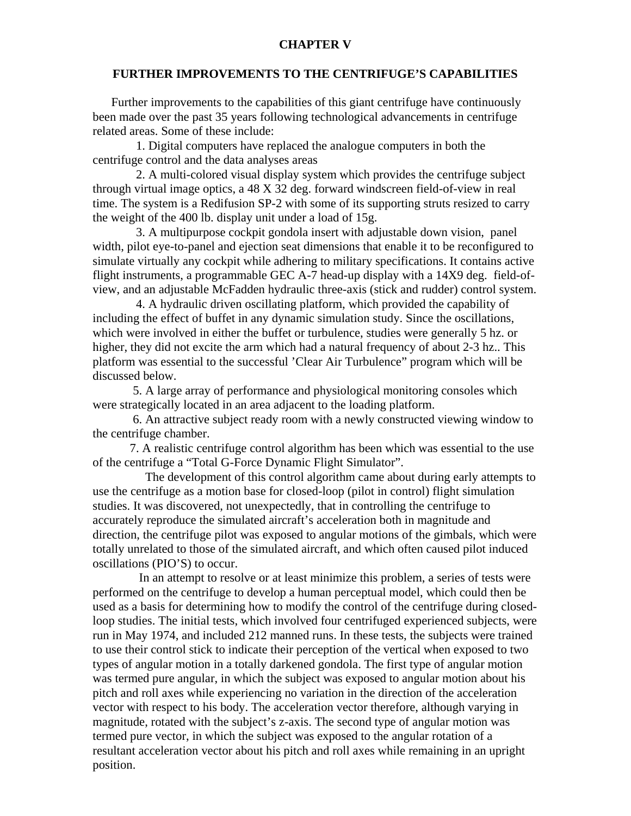## **CHAPTER V**

## **FURTHER IMPROVEMENTS TO THE CENTRIFUGE'S CAPABILITIES**

 Further improvements to the capabilities of this giant centrifuge have continuously been made over the past 35 years following technological advancements in centrifuge related areas. Some of these include:

 1. Digital computers have replaced the analogue computers in both the centrifuge control and the data analyses areas

 2. A multi-colored visual display system which provides the centrifuge subject through virtual image optics, a 48 X 32 deg. forward windscreen field-of-view in real time. The system is a Redifusion SP-2 with some of its supporting struts resized to carry the weight of the 400 lb. display unit under a load of 15g.

 3. A multipurpose cockpit gondola insert with adjustable down vision, panel width, pilot eye-to-panel and ejection seat dimensions that enable it to be reconfigured to simulate virtually any cockpit while adhering to military specifications. It contains active flight instruments, a programmable GEC A-7 head-up display with a 14X9 deg. field-ofview, and an adjustable McFadden hydraulic three-axis (stick and rudder) control system.

 4. A hydraulic driven oscillating platform, which provided the capability of including the effect of buffet in any dynamic simulation study. Since the oscillations, which were involved in either the buffet or turbulence, studies were generally 5 hz. or higher, they did not excite the arm which had a natural frequency of about 2-3 hz.. This platform was essential to the successful 'Clear Air Turbulence" program which will be discussed below.

 5. A large array of performance and physiological monitoring consoles which were strategically located in an area adjacent to the loading platform.

 6. An attractive subject ready room with a newly constructed viewing window to the centrifuge chamber.

 7. A realistic centrifuge control algorithm has been which was essential to the use of the centrifuge a "Total G-Force Dynamic Flight Simulator".

 The development of this control algorithm came about during early attempts to use the centrifuge as a motion base for closed-loop (pilot in control) flight simulation studies. It was discovered, not unexpectedly, that in controlling the centrifuge to accurately reproduce the simulated aircraft's acceleration both in magnitude and direction, the centrifuge pilot was exposed to angular motions of the gimbals, which were totally unrelated to those of the simulated aircraft, and which often caused pilot induced oscillations (PIO'S) to occur.

 In an attempt to resolve or at least minimize this problem, a series of tests were performed on the centrifuge to develop a human perceptual model, which could then be used as a basis for determining how to modify the control of the centrifuge during closedloop studies. The initial tests, which involved four centrifuged experienced subjects, were run in May 1974, and included 212 manned runs. In these tests, the subjects were trained to use their control stick to indicate their perception of the vertical when exposed to two types of angular motion in a totally darkened gondola. The first type of angular motion was termed pure angular, in which the subject was exposed to angular motion about his pitch and roll axes while experiencing no variation in the direction of the acceleration vector with respect to his body. The acceleration vector therefore, although varying in magnitude, rotated with the subject's z-axis. The second type of angular motion was termed pure vector, in which the subject was exposed to the angular rotation of a resultant acceleration vector about his pitch and roll axes while remaining in an upright position.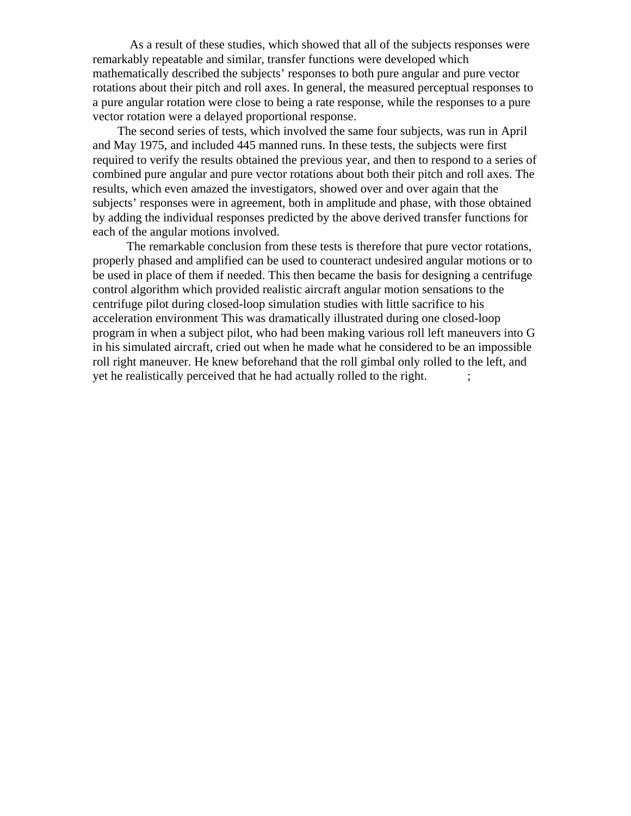As a result of these studies, which showed that all of the subjects responses were remarkably repeatable and similar, transfer functions were developed which mathematically described the subjects' responses to both pure angular and pure vector rotations about their pitch and roll axes. In general, the measured perceptual responses to a pure angular rotation were close to being a rate response, while the responses to a pure vector rotation were a delayed proportional response.

 The second series of tests, which involved the same four subjects, was run in April and May 1975, and included 445 manned runs. In these tests, the subjects were first required to verify the results obtained the previous year, and then to respond to a series of combined pure angular and pure vector rotations about both their pitch and roll axes. The results, which even amazed the investigators, showed over and over again that the subjects' responses were in agreement, both in amplitude and phase, with those obtained by adding the individual responses predicted by the above derived transfer functions for each of the angular motions involved.

 The remarkable conclusion from these tests is therefore that pure vector rotations, properly phased and amplified can be used to counteract undesired angular motions or to be used in place of them if needed. This then became the basis for designing a centrifuge control algorithm which provided realistic aircraft angular motion sensations to the centrifuge pilot during closed-loop simulation studies with little sacrifice to his acceleration environment This was dramatically illustrated during one closed-loop program in when a subject pilot, who had been making various roll left maneuvers into G in his simulated aircraft, cried out when he made what he considered to be an impossible roll right maneuver. He knew beforehand that the roll gimbal only rolled to the left, and yet he realistically perceived that he had actually rolled to the right. ;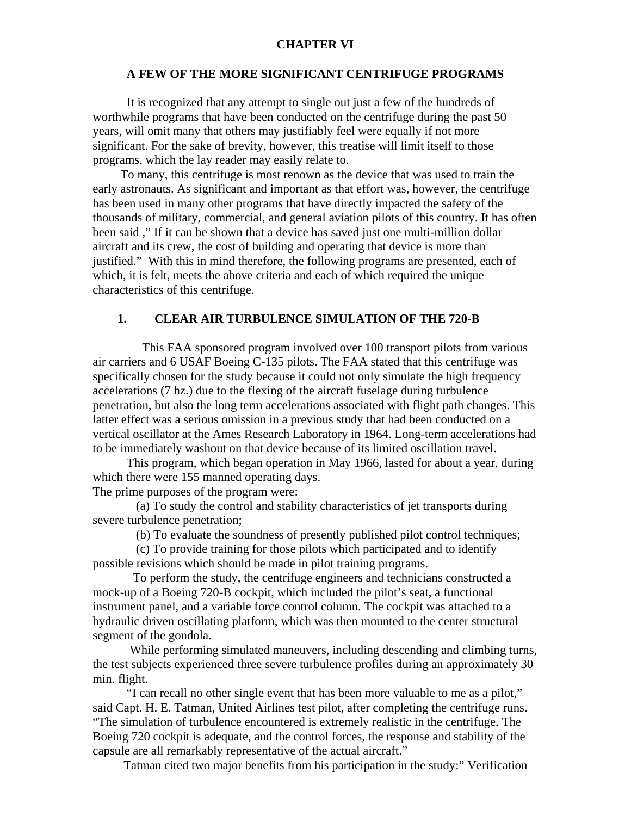#### **CHAPTER VI**

## **A FEW OF THE MORE SIGNIFICANT CENTRIFUGE PROGRAMS**

 It is recognized that any attempt to single out just a few of the hundreds of worthwhile programs that have been conducted on the centrifuge during the past 50 years, will omit many that others may justifiably feel were equally if not more significant. For the sake of brevity, however, this treatise will limit itself to those programs, which the lay reader may easily relate to.

 To many, this centrifuge is most renown as the device that was used to train the early astronauts. As significant and important as that effort was, however, the centrifuge has been used in many other programs that have directly impacted the safety of the thousands of military, commercial, and general aviation pilots of this country. It has often been said ," If it can be shown that a device has saved just one multi-million dollar aircraft and its crew, the cost of building and operating that device is more than justified." With this in mind therefore, the following programs are presented, each of which, it is felt, meets the above criteria and each of which required the unique characteristics of this centrifuge.

## **1. CLEAR AIR TURBULENCE SIMULATION OF THE 720-B**

 This FAA sponsored program involved over 100 transport pilots from various air carriers and 6 USAF Boeing C-135 pilots. The FAA stated that this centrifuge was specifically chosen for the study because it could not only simulate the high frequency accelerations (7 hz.) due to the flexing of the aircraft fuselage during turbulence penetration, but also the long term accelerations associated with flight path changes. This latter effect was a serious omission in a previous study that had been conducted on a vertical oscillator at the Ames Research Laboratory in 1964. Long-term accelerations had to be immediately washout on that device because of its limited oscillation travel.

 This program, which began operation in May 1966, lasted for about a year, during which there were 155 manned operating days.

The prime purposes of the program were:

 (a) To study the control and stability characteristics of jet transports during severe turbulence penetration;

(b) To evaluate the soundness of presently published pilot control techniques;

 (c) To provide training for those pilots which participated and to identify possible revisions which should be made in pilot training programs.

 To perform the study, the centrifuge engineers and technicians constructed a mock-up of a Boeing 720-B cockpit, which included the pilot's seat, a functional instrument panel, and a variable force control column. The cockpit was attached to a hydraulic driven oscillating platform, which was then mounted to the center structural segment of the gondola.

 While performing simulated maneuvers, including descending and climbing turns, the test subjects experienced three severe turbulence profiles during an approximately 30 min. flight.

 "I can recall no other single event that has been more valuable to me as a pilot," said Capt. H. E. Tatman, United Airlines test pilot, after completing the centrifuge runs. "The simulation of turbulence encountered is extremely realistic in the centrifuge. The Boeing 720 cockpit is adequate, and the control forces, the response and stability of the capsule are all remarkably representative of the actual aircraft."

Tatman cited two major benefits from his participation in the study:" Verification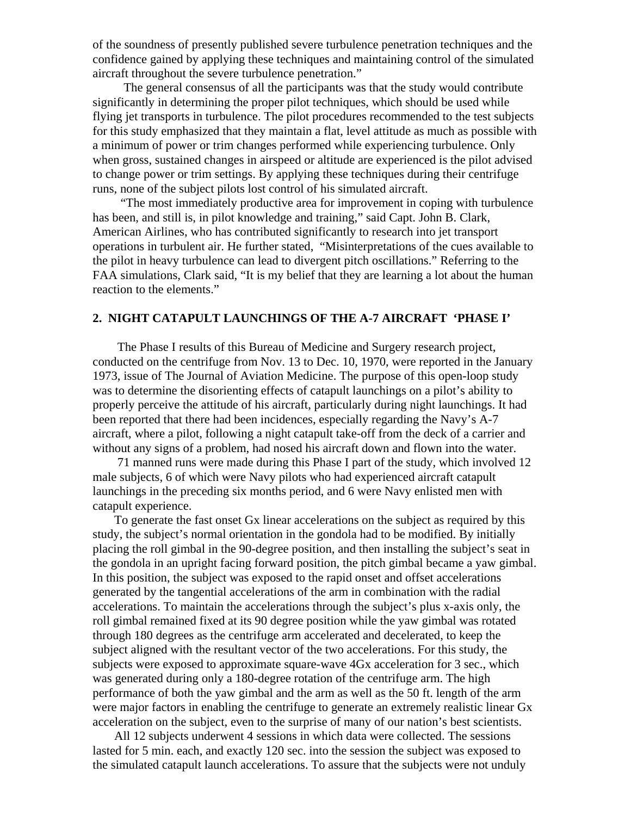of the soundness of presently published severe turbulence penetration techniques and the confidence gained by applying these techniques and maintaining control of the simulated aircraft throughout the severe turbulence penetration."

 The general consensus of all the participants was that the study would contribute significantly in determining the proper pilot techniques, which should be used while flying jet transports in turbulence. The pilot procedures recommended to the test subjects for this study emphasized that they maintain a flat, level attitude as much as possible with a minimum of power or trim changes performed while experiencing turbulence. Only when gross, sustained changes in airspeed or altitude are experienced is the pilot advised to change power or trim settings. By applying these techniques during their centrifuge runs, none of the subject pilots lost control of his simulated aircraft.

 "The most immediately productive area for improvement in coping with turbulence has been, and still is, in pilot knowledge and training," said Capt. John B. Clark, American Airlines, who has contributed significantly to research into jet transport operations in turbulent air. He further stated, "Misinterpretations of the cues available to the pilot in heavy turbulence can lead to divergent pitch oscillations." Referring to the FAA simulations, Clark said, "It is my belief that they are learning a lot about the human reaction to the elements."

# **2. NIGHT CATAPULT LAUNCHINGS OF THE A-7 AIRCRAFT 'PHASE I'**

 The Phase I results of this Bureau of Medicine and Surgery research project, conducted on the centrifuge from Nov. 13 to Dec. 10, 1970, were reported in the January 1973, issue of The Journal of Aviation Medicine. The purpose of this open-loop study was to determine the disorienting effects of catapult launchings on a pilot's ability to properly perceive the attitude of his aircraft, particularly during night launchings. It had been reported that there had been incidences, especially regarding the Navy's A-7 aircraft, where a pilot, following a night catapult take-off from the deck of a carrier and without any signs of a problem, had nosed his aircraft down and flown into the water.

 71 manned runs were made during this Phase I part of the study, which involved 12 male subjects, 6 of which were Navy pilots who had experienced aircraft catapult launchings in the preceding six months period, and 6 were Navy enlisted men with catapult experience.

 To generate the fast onset Gx linear accelerations on the subject as required by this study, the subject's normal orientation in the gondola had to be modified. By initially placing the roll gimbal in the 90-degree position, and then installing the subject's seat in the gondola in an upright facing forward position, the pitch gimbal became a yaw gimbal. In this position, the subject was exposed to the rapid onset and offset accelerations generated by the tangential accelerations of the arm in combination with the radial accelerations. To maintain the accelerations through the subject's plus x-axis only, the roll gimbal remained fixed at its 90 degree position while the yaw gimbal was rotated through 180 degrees as the centrifuge arm accelerated and decelerated, to keep the subject aligned with the resultant vector of the two accelerations. For this study, the subjects were exposed to approximate square-wave 4Gx acceleration for 3 sec., which was generated during only a 180-degree rotation of the centrifuge arm. The high performance of both the yaw gimbal and the arm as well as the 50 ft. length of the arm were major factors in enabling the centrifuge to generate an extremely realistic linear Gx acceleration on the subject, even to the surprise of many of our nation's best scientists.

 All 12 subjects underwent 4 sessions in which data were collected. The sessions lasted for 5 min. each, and exactly 120 sec. into the session the subject was exposed to the simulated catapult launch accelerations. To assure that the subjects were not unduly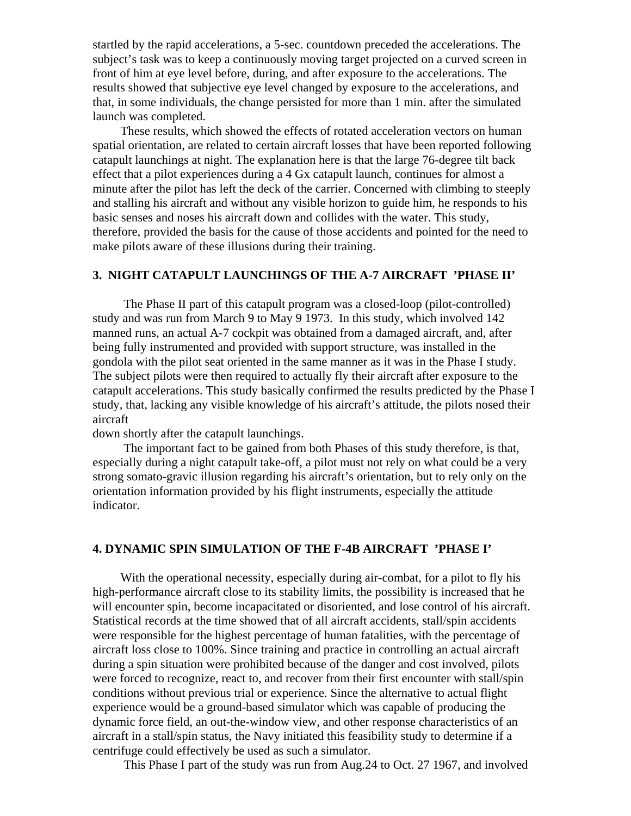startled by the rapid accelerations, a 5-sec. countdown preceded the accelerations. The subject's task was to keep a continuously moving target projected on a curved screen in front of him at eye level before, during, and after exposure to the accelerations. The results showed that subjective eye level changed by exposure to the accelerations, and that, in some individuals, the change persisted for more than 1 min. after the simulated launch was completed.

 These results, which showed the effects of rotated acceleration vectors on human spatial orientation, are related to certain aircraft losses that have been reported following catapult launchings at night. The explanation here is that the large 76-degree tilt back effect that a pilot experiences during a 4 Gx catapult launch, continues for almost a minute after the pilot has left the deck of the carrier. Concerned with climbing to steeply and stalling his aircraft and without any visible horizon to guide him, he responds to his basic senses and noses his aircraft down and collides with the water. This study, therefore, provided the basis for the cause of those accidents and pointed for the need to make pilots aware of these illusions during their training.

#### **3. NIGHT CATAPULT LAUNCHINGS OF THE A-7 AIRCRAFT 'PHASE II'**

 The Phase II part of this catapult program was a closed-loop (pilot-controlled) study and was run from March 9 to May 9 1973. In this study, which involved 142 manned runs, an actual A-7 cockpit was obtained from a damaged aircraft, and, after being fully instrumented and provided with support structure, was installed in the gondola with the pilot seat oriented in the same manner as it was in the Phase I study. The subject pilots were then required to actually fly their aircraft after exposure to the catapult accelerations. This study basically confirmed the results predicted by the Phase I study, that, lacking any visible knowledge of his aircraft's attitude, the pilots nosed their aircraft

down shortly after the catapult launchings.

 The important fact to be gained from both Phases of this study therefore, is that, especially during a night catapult take-off, a pilot must not rely on what could be a very strong somato-gravic illusion regarding his aircraft's orientation, but to rely only on the orientation information provided by his flight instruments, especially the attitude indicator.

# **4. DYNAMIC SPIN SIMULATION OF THE F-4B AIRCRAFT 'PHASE I'**

 With the operational necessity, especially during air-combat, for a pilot to fly his high-performance aircraft close to its stability limits, the possibility is increased that he will encounter spin, become incapacitated or disoriented, and lose control of his aircraft. Statistical records at the time showed that of all aircraft accidents, stall/spin accidents were responsible for the highest percentage of human fatalities, with the percentage of aircraft loss close to 100%. Since training and practice in controlling an actual aircraft during a spin situation were prohibited because of the danger and cost involved, pilots were forced to recognize, react to, and recover from their first encounter with stall/spin conditions without previous trial or experience. Since the alternative to actual flight experience would be a ground-based simulator which was capable of producing the dynamic force field, an out-the-window view, and other response characteristics of an aircraft in a stall/spin status, the Navy initiated this feasibility study to determine if a centrifuge could effectively be used as such a simulator.

This Phase I part of the study was run from Aug.24 to Oct. 27 1967, and involved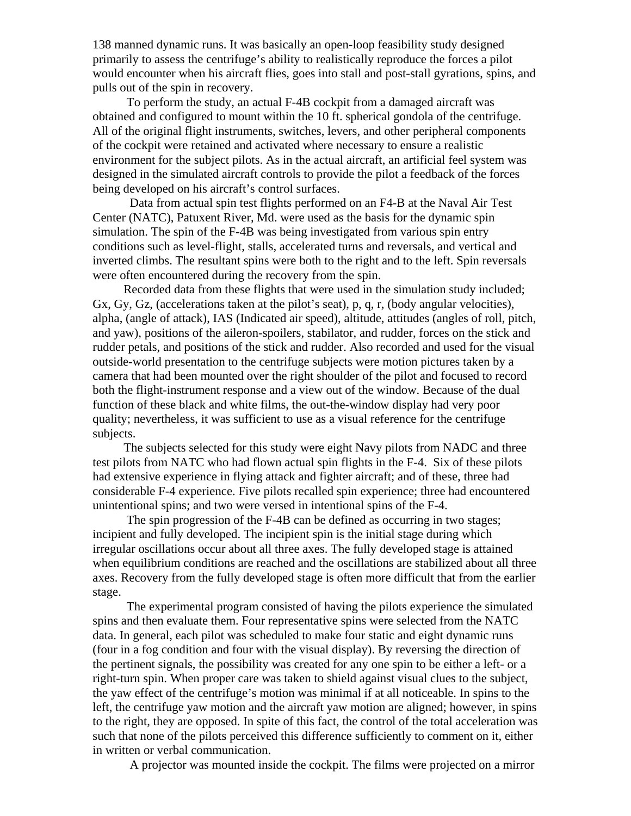138 manned dynamic runs. It was basically an open-loop feasibility study designed primarily to assess the centrifuge's ability to realistically reproduce the forces a pilot would encounter when his aircraft flies, goes into stall and post-stall gyrations, spins, and pulls out of the spin in recovery.

 To perform the study, an actual F-4B cockpit from a damaged aircraft was obtained and configured to mount within the 10 ft. spherical gondola of the centrifuge. All of the original flight instruments, switches, levers, and other peripheral components of the cockpit were retained and activated where necessary to ensure a realistic environment for the subject pilots. As in the actual aircraft, an artificial feel system was designed in the simulated aircraft controls to provide the pilot a feedback of the forces being developed on his aircraft's control surfaces.

 Data from actual spin test flights performed on an F4-B at the Naval Air Test Center (NATC), Patuxent River, Md. were used as the basis for the dynamic spin simulation. The spin of the F-4B was being investigated from various spin entry conditions such as level-flight, stalls, accelerated turns and reversals, and vertical and inverted climbs. The resultant spins were both to the right and to the left. Spin reversals were often encountered during the recovery from the spin.

 Recorded data from these flights that were used in the simulation study included; Gx, Gy, Gz, (accelerations taken at the pilot's seat), p, q, r, (body angular velocities), alpha, (angle of attack), IAS (Indicated air speed), altitude, attitudes (angles of roll, pitch, and yaw), positions of the aileron-spoilers, stabilator, and rudder, forces on the stick and rudder petals, and positions of the stick and rudder. Also recorded and used for the visual outside-world presentation to the centrifuge subjects were motion pictures taken by a camera that had been mounted over the right shoulder of the pilot and focused to record both the flight-instrument response and a view out of the window. Because of the dual function of these black and white films, the out-the-window display had very poor quality; nevertheless, it was sufficient to use as a visual reference for the centrifuge subjects.

 The subjects selected for this study were eight Navy pilots from NADC and three test pilots from NATC who had flown actual spin flights in the F-4. Six of these pilots had extensive experience in flying attack and fighter aircraft; and of these, three had considerable F-4 experience. Five pilots recalled spin experience; three had encountered unintentional spins; and two were versed in intentional spins of the F-4.

 The spin progression of the F-4B can be defined as occurring in two stages; incipient and fully developed. The incipient spin is the initial stage during which irregular oscillations occur about all three axes. The fully developed stage is attained when equilibrium conditions are reached and the oscillations are stabilized about all three axes. Recovery from the fully developed stage is often more difficult that from the earlier stage.

 The experimental program consisted of having the pilots experience the simulated spins and then evaluate them. Four representative spins were selected from the NATC data. In general, each pilot was scheduled to make four static and eight dynamic runs (four in a fog condition and four with the visual display). By reversing the direction of the pertinent signals, the possibility was created for any one spin to be either a left- or a right-turn spin. When proper care was taken to shield against visual clues to the subject, the yaw effect of the centrifuge's motion was minimal if at all noticeable. In spins to the left, the centrifuge yaw motion and the aircraft yaw motion are aligned; however, in spins to the right, they are opposed. In spite of this fact, the control of the total acceleration was such that none of the pilots perceived this difference sufficiently to comment on it, either in written or verbal communication.

A projector was mounted inside the cockpit. The films were projected on a mirror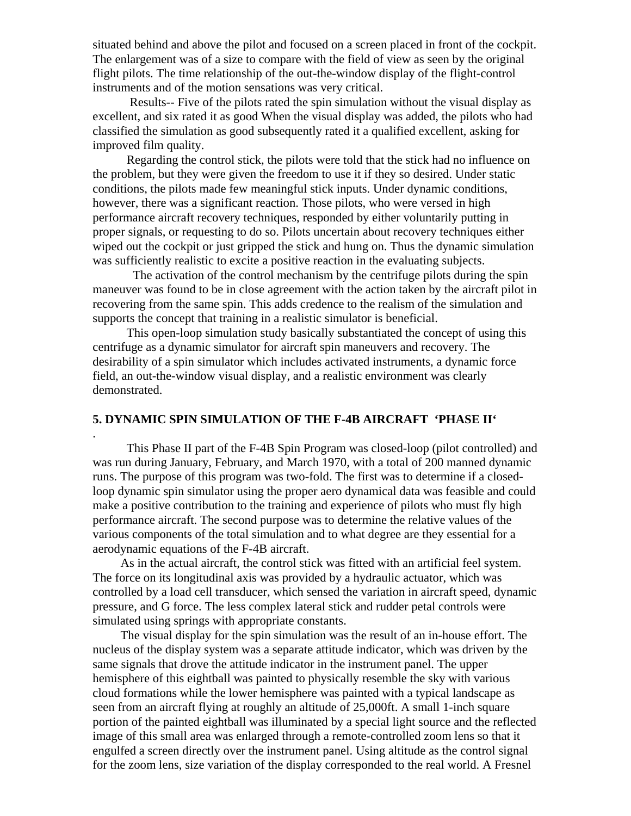situated behind and above the pilot and focused on a screen placed in front of the cockpit. The enlargement was of a size to compare with the field of view as seen by the original flight pilots. The time relationship of the out-the-window display of the flight-control instruments and of the motion sensations was very critical.

 Results-- Five of the pilots rated the spin simulation without the visual display as excellent, and six rated it as good When the visual display was added, the pilots who had classified the simulation as good subsequently rated it a qualified excellent, asking for improved film quality.

 Regarding the control stick, the pilots were told that the stick had no influence on the problem, but they were given the freedom to use it if they so desired. Under static conditions, the pilots made few meaningful stick inputs. Under dynamic conditions, however, there was a significant reaction. Those pilots, who were versed in high performance aircraft recovery techniques, responded by either voluntarily putting in proper signals, or requesting to do so. Pilots uncertain about recovery techniques either wiped out the cockpit or just gripped the stick and hung on. Thus the dynamic simulation was sufficiently realistic to excite a positive reaction in the evaluating subjects.

 The activation of the control mechanism by the centrifuge pilots during the spin maneuver was found to be in close agreement with the action taken by the aircraft pilot in recovering from the same spin. This adds credence to the realism of the simulation and supports the concept that training in a realistic simulator is beneficial.

 This open-loop simulation study basically substantiated the concept of using this centrifuge as a dynamic simulator for aircraft spin maneuvers and recovery. The desirability of a spin simulator which includes activated instruments, a dynamic force field, an out-the-window visual display, and a realistic environment was clearly demonstrated.

## **5. DYNAMIC SPIN SIMULATION OF THE F-4B AIRCRAFT 'PHASE II'**

.

 This Phase II part of the F-4B Spin Program was closed-loop (pilot controlled) and was run during January, February, and March 1970, with a total of 200 manned dynamic runs. The purpose of this program was two-fold. The first was to determine if a closedloop dynamic spin simulator using the proper aero dynamical data was feasible and could make a positive contribution to the training and experience of pilots who must fly high performance aircraft. The second purpose was to determine the relative values of the various components of the total simulation and to what degree are they essential for a aerodynamic equations of the F-4B aircraft.

 As in the actual aircraft, the control stick was fitted with an artificial feel system. The force on its longitudinal axis was provided by a hydraulic actuator, which was controlled by a load cell transducer, which sensed the variation in aircraft speed, dynamic pressure, and G force. The less complex lateral stick and rudder petal controls were simulated using springs with appropriate constants.

 The visual display for the spin simulation was the result of an in-house effort. The nucleus of the display system was a separate attitude indicator, which was driven by the same signals that drove the attitude indicator in the instrument panel. The upper hemisphere of this eightball was painted to physically resemble the sky with various cloud formations while the lower hemisphere was painted with a typical landscape as seen from an aircraft flying at roughly an altitude of 25,000ft. A small 1-inch square portion of the painted eightball was illuminated by a special light source and the reflected image of this small area was enlarged through a remote-controlled zoom lens so that it engulfed a screen directly over the instrument panel. Using altitude as the control signal for the zoom lens, size variation of the display corresponded to the real world. A Fresnel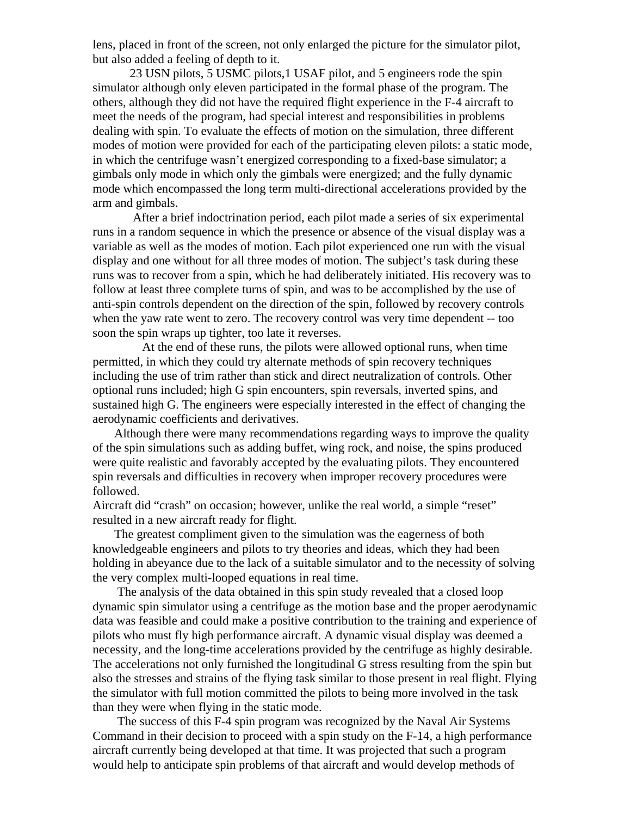lens, placed in front of the screen, not only enlarged the picture for the simulator pilot, but also added a feeling of depth to it.

 23 USN pilots, 5 USMC pilots,1 USAF pilot, and 5 engineers rode the spin simulator although only eleven participated in the formal phase of the program. The others, although they did not have the required flight experience in the F-4 aircraft to meet the needs of the program, had special interest and responsibilities in problems dealing with spin. To evaluate the effects of motion on the simulation, three different modes of motion were provided for each of the participating eleven pilots: a static mode, in which the centrifuge wasn't energized corresponding to a fixed-base simulator; a gimbals only mode in which only the gimbals were energized; and the fully dynamic mode which encompassed the long term multi-directional accelerations provided by the arm and gimbals.

 After a brief indoctrination period, each pilot made a series of six experimental runs in a random sequence in which the presence or absence of the visual display was a variable as well as the modes of motion. Each pilot experienced one run with the visual display and one without for all three modes of motion. The subject's task during these runs was to recover from a spin, which he had deliberately initiated. His recovery was to follow at least three complete turns of spin, and was to be accomplished by the use of anti-spin controls dependent on the direction of the spin, followed by recovery controls when the yaw rate went to zero. The recovery control was very time dependent -- too soon the spin wraps up tighter, too late it reverses.

 At the end of these runs, the pilots were allowed optional runs, when time permitted, in which they could try alternate methods of spin recovery techniques including the use of trim rather than stick and direct neutralization of controls. Other optional runs included; high G spin encounters, spin reversals, inverted spins, and sustained high G. The engineers were especially interested in the effect of changing the aerodynamic coefficients and derivatives.

 Although there were many recommendations regarding ways to improve the quality of the spin simulations such as adding buffet, wing rock, and noise, the spins produced were quite realistic and favorably accepted by the evaluating pilots. They encountered spin reversals and difficulties in recovery when improper recovery procedures were followed.

Aircraft did "crash" on occasion; however, unlike the real world, a simple "reset" resulted in a new aircraft ready for flight.

 The greatest compliment given to the simulation was the eagerness of both knowledgeable engineers and pilots to try theories and ideas, which they had been holding in abeyance due to the lack of a suitable simulator and to the necessity of solving the very complex multi-looped equations in real time.

 The analysis of the data obtained in this spin study revealed that a closed loop dynamic spin simulator using a centrifuge as the motion base and the proper aerodynamic data was feasible and could make a positive contribution to the training and experience of pilots who must fly high performance aircraft. A dynamic visual display was deemed a necessity, and the long-time accelerations provided by the centrifuge as highly desirable. The accelerations not only furnished the longitudinal G stress resulting from the spin but also the stresses and strains of the flying task similar to those present in real flight. Flying the simulator with full motion committed the pilots to being more involved in the task than they were when flying in the static mode.

 The success of this F-4 spin program was recognized by the Naval Air Systems Command in their decision to proceed with a spin study on the F-14, a high performance aircraft currently being developed at that time. It was projected that such a program would help to anticipate spin problems of that aircraft and would develop methods of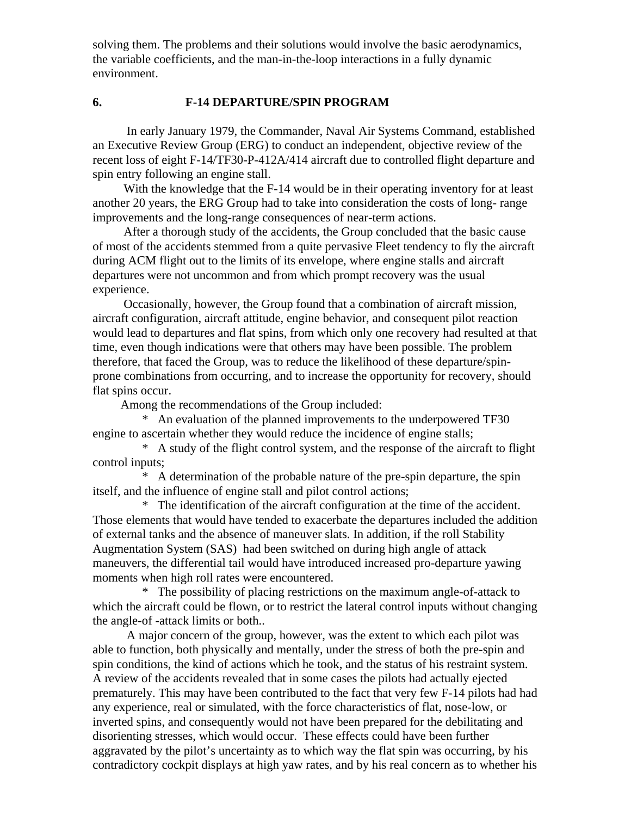solving them. The problems and their solutions would involve the basic aerodynamics, the variable coefficients, and the man-in-the-loop interactions in a fully dynamic environment.

## **6. F-14 DEPARTURE/SPIN PROGRAM**

 In early January 1979, the Commander, Naval Air Systems Command, established an Executive Review Group (ERG) to conduct an independent, objective review of the recent loss of eight F-14/TF30-P-412A/414 aircraft due to controlled flight departure and spin entry following an engine stall.

With the knowledge that the F-14 would be in their operating inventory for at least another 20 years, the ERG Group had to take into consideration the costs of long- range improvements and the long-range consequences of near-term actions.

 After a thorough study of the accidents, the Group concluded that the basic cause of most of the accidents stemmed from a quite pervasive Fleet tendency to fly the aircraft during ACM flight out to the limits of its envelope, where engine stalls and aircraft departures were not uncommon and from which prompt recovery was the usual experience.

 Occasionally, however, the Group found that a combination of aircraft mission, aircraft configuration, aircraft attitude, engine behavior, and consequent pilot reaction would lead to departures and flat spins, from which only one recovery had resulted at that time, even though indications were that others may have been possible. The problem therefore, that faced the Group, was to reduce the likelihood of these departure/spinprone combinations from occurring, and to increase the opportunity for recovery, should flat spins occur.

Among the recommendations of the Group included:

 \* An evaluation of the planned improvements to the underpowered TF30 engine to ascertain whether they would reduce the incidence of engine stalls;

 \* A study of the flight control system, and the response of the aircraft to flight control inputs;

 \* A determination of the probable nature of the pre-spin departure, the spin itself, and the influence of engine stall and pilot control actions;

 \* The identification of the aircraft configuration at the time of the accident. Those elements that would have tended to exacerbate the departures included the addition of external tanks and the absence of maneuver slats. In addition, if the roll Stability Augmentation System (SAS) had been switched on during high angle of attack maneuvers, the differential tail would have introduced increased pro-departure yawing moments when high roll rates were encountered.

 \* The possibility of placing restrictions on the maximum angle-of-attack to which the aircraft could be flown, or to restrict the lateral control inputs without changing the angle-of -attack limits or both..

 A major concern of the group, however, was the extent to which each pilot was able to function, both physically and mentally, under the stress of both the pre-spin and spin conditions, the kind of actions which he took, and the status of his restraint system. A review of the accidents revealed that in some cases the pilots had actually ejected prematurely. This may have been contributed to the fact that very few F-14 pilots had had any experience, real or simulated, with the force characteristics of flat, nose-low, or inverted spins, and consequently would not have been prepared for the debilitating and disorienting stresses, which would occur. These effects could have been further aggravated by the pilot's uncertainty as to which way the flat spin was occurring, by his contradictory cockpit displays at high yaw rates, and by his real concern as to whether his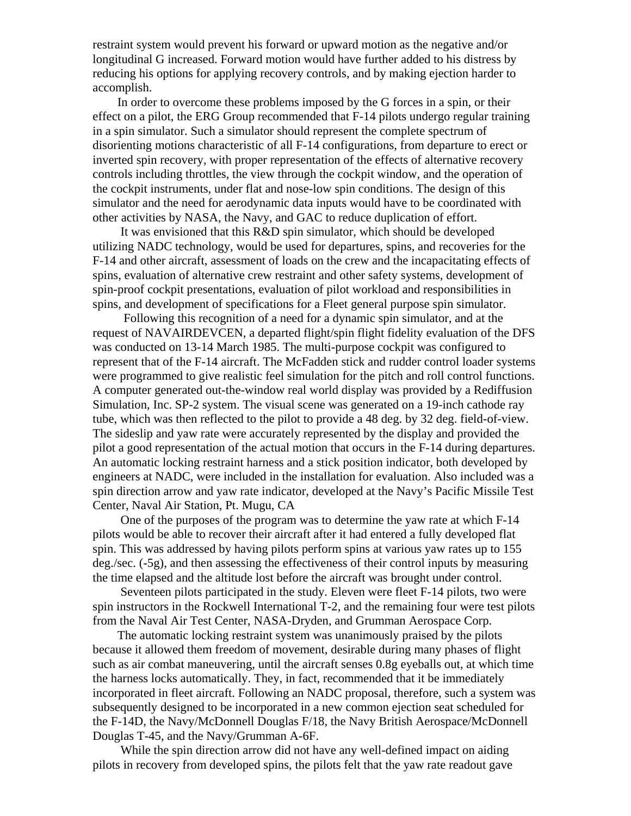restraint system would prevent his forward or upward motion as the negative and/or longitudinal G increased. Forward motion would have further added to his distress by reducing his options for applying recovery controls, and by making ejection harder to accomplish.

 In order to overcome these problems imposed by the G forces in a spin, or their effect on a pilot, the ERG Group recommended that F-14 pilots undergo regular training in a spin simulator. Such a simulator should represent the complete spectrum of disorienting motions characteristic of all F-14 configurations, from departure to erect or inverted spin recovery, with proper representation of the effects of alternative recovery controls including throttles, the view through the cockpit window, and the operation of the cockpit instruments, under flat and nose-low spin conditions. The design of this simulator and the need for aerodynamic data inputs would have to be coordinated with other activities by NASA, the Navy, and GAC to reduce duplication of effort.

 It was envisioned that this R&D spin simulator, which should be developed utilizing NADC technology, would be used for departures, spins, and recoveries for the F-14 and other aircraft, assessment of loads on the crew and the incapacitating effects of spins, evaluation of alternative crew restraint and other safety systems, development of spin-proof cockpit presentations, evaluation of pilot workload and responsibilities in spins, and development of specifications for a Fleet general purpose spin simulator.

 Following this recognition of a need for a dynamic spin simulator, and at the request of NAVAIRDEVCEN, a departed flight/spin flight fidelity evaluation of the DFS was conducted on 13-14 March 1985. The multi-purpose cockpit was configured to represent that of the F-14 aircraft. The McFadden stick and rudder control loader systems were programmed to give realistic feel simulation for the pitch and roll control functions. A computer generated out-the-window real world display was provided by a Rediffusion Simulation, Inc. SP-2 system. The visual scene was generated on a 19-inch cathode ray tube, which was then reflected to the pilot to provide a 48 deg. by 32 deg. field-of-view. The sideslip and yaw rate were accurately represented by the display and provided the pilot a good representation of the actual motion that occurs in the F-14 during departures. An automatic locking restraint harness and a stick position indicator, both developed by engineers at NADC, were included in the installation for evaluation. Also included was a spin direction arrow and yaw rate indicator, developed at the Navy's Pacific Missile Test Center, Naval Air Station, Pt. Mugu, CA

 One of the purposes of the program was to determine the yaw rate at which F-14 pilots would be able to recover their aircraft after it had entered a fully developed flat spin. This was addressed by having pilots perform spins at various yaw rates up to 155 deg./sec. (-5g), and then assessing the effectiveness of their control inputs by measuring the time elapsed and the altitude lost before the aircraft was brought under control.

 Seventeen pilots participated in the study. Eleven were fleet F-14 pilots, two were spin instructors in the Rockwell International T-2, and the remaining four were test pilots from the Naval Air Test Center, NASA-Dryden, and Grumman Aerospace Corp.

 The automatic locking restraint system was unanimously praised by the pilots because it allowed them freedom of movement, desirable during many phases of flight such as air combat maneuvering, until the aircraft senses 0.8g eyeballs out, at which time the harness locks automatically. They, in fact, recommended that it be immediately incorporated in fleet aircraft. Following an NADC proposal, therefore, such a system was subsequently designed to be incorporated in a new common ejection seat scheduled for the F-14D, the Navy/McDonnell Douglas F/18, the Navy British Aerospace/McDonnell Douglas T-45, and the Navy/Grumman A-6F.

 While the spin direction arrow did not have any well-defined impact on aiding pilots in recovery from developed spins, the pilots felt that the yaw rate readout gave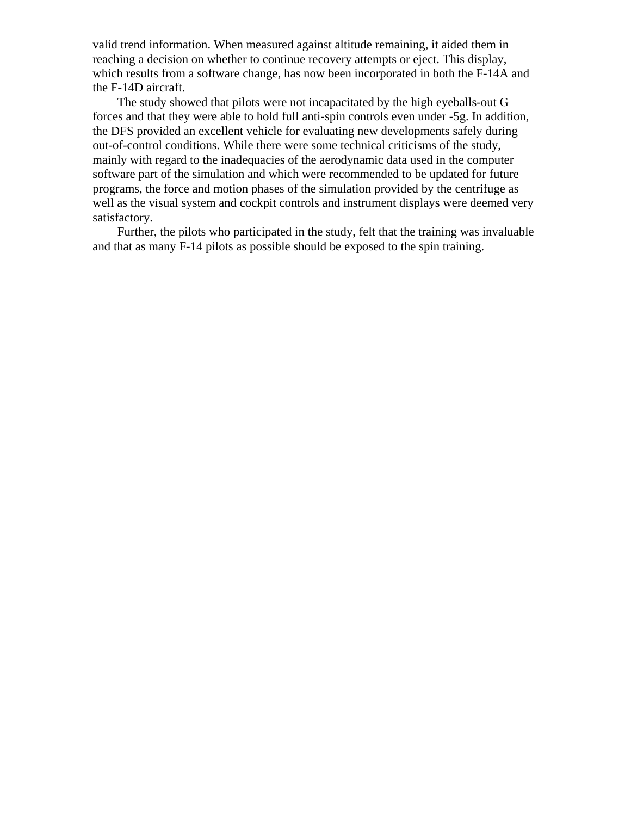valid trend information. When measured against altitude remaining, it aided them in reaching a decision on whether to continue recovery attempts or eject. This display, which results from a software change, has now been incorporated in both the F-14A and the F-14D aircraft.

 The study showed that pilots were not incapacitated by the high eyeballs-out G forces and that they were able to hold full anti-spin controls even under -5g. In addition, the DFS provided an excellent vehicle for evaluating new developments safely during out-of-control conditions. While there were some technical criticisms of the study, mainly with regard to the inadequacies of the aerodynamic data used in the computer software part of the simulation and which were recommended to be updated for future programs, the force and motion phases of the simulation provided by the centrifuge as well as the visual system and cockpit controls and instrument displays were deemed very satisfactory.

 Further, the pilots who participated in the study, felt that the training was invaluable and that as many F-14 pilots as possible should be exposed to the spin training.